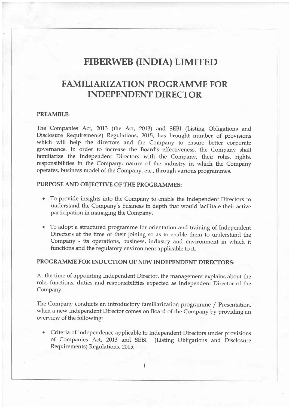# FIBERWEB (INDIA) LIMITED

## FAMILIARIZATION PROGRAMME FOR INDEPENDENT DIRECTOR

#### PREAMBLE:

The Companies Act, 2013 (the Act, 2013) and SEBI (Listing Obligations and Disclosure Requirements) Regulations, 2015, has brought number of provisions which will help the directors and the Company to ensure better corporate governance. In order to increase the Board's effectiveness, the Company shall familiarize the Independent Directors with the Company, their roles, rights, responsibilities in the Company, nature of the industry in which the Company operates, business model of the Company, etc., through various programmes.

### PURPOSE AND OBIECTIVE OF THE PROGRAMMES:

- o To provide insights into the Company to enable the Independent Directors to understand the Company's business in depth that would facilitate their active participation in managing the Company.
- To adopt a structured programme for orientation and training of Independent Directors at the time of their joining so as to enable them to understand the Company - its operations, business, industry and environment in which it functions and the regulatory environment applicable to it.

### PROGRAMME FOR INDUCTION OF NEW INDEPENDENT DIRECTORS:

At the time of appointing Independent Director, the management explains about the role, functions, duties and responsibilities expected as Independent Director of the Company.

The Company conducts an introductory familiarization programme / Presentation, when a new Independent Director comes on Board of the Company by providing an overview of the following:

Criteria of independence applicable to Independent Directors under provisions of Companies Act, 2073 and SEBI (Listing Obligations and Disclosure Requirements) Regulations, 2015;